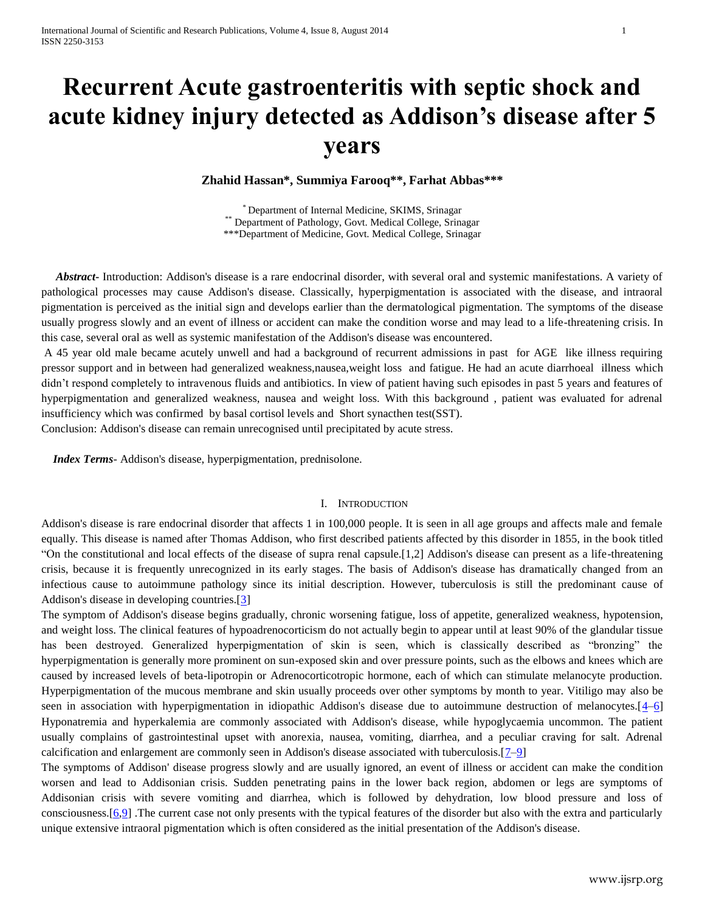# **Recurrent Acute gastroenteritis with septic shock and acute kidney injury detected as Addison's disease after 5 years**

**Zhahid Hassan\*, Summiya Farooq\*\*, Farhat Abbas\*\*\***

\* Department of Internal Medicine, SKIMS, Srinagar \*\* Department of Pathology, Govt. Medical College, Srinagar \*\*\*Department of Medicine, Govt. Medical College, Srinagar

 *Abstract***-** Introduction: Addison's disease is a rare endocrinal disorder, with several oral and systemic manifestations. A variety of pathological processes may cause Addison's disease. Classically, hyperpigmentation is associated with the disease, and intraoral pigmentation is perceived as the initial sign and develops earlier than the dermatological pigmentation. The symptoms of the disease usually progress slowly and an event of illness or accident can make the condition worse and may lead to a life-threatening crisis. In this case, several oral as well as systemic manifestation of the Addison's disease was encountered.

A 45 year old male became acutely unwell and had a background of recurrent admissions in past for AGE like illness requiring pressor support and in between had generalized weakness,nausea,weight loss and fatigue. He had an acute diarrhoeal illness which didn't respond completely to intravenous fluids and antibiotics. In view of patient having such episodes in past 5 years and features of hyperpigmentation and generalized weakness, nausea and weight loss. With this background , patient was evaluated for adrenal insufficiency which was confirmed by basal cortisol levels and Short synacthen test(SST).

Conclusion: Addison's disease can remain unrecognised until precipitated by acute stress.

 *Index Terms*- Addison's disease, hyperpigmentation, prednisolone.

### I. INTRODUCTION

Addison's disease is rare endocrinal disorder that affects 1 in 100,000 people. It is seen in all age groups and affects male and female equally. This disease is named after Thomas Addison, who first described patients affected by this disorder in 1855, in the book titled "On the constitutional and local effects of the disease of supra renal capsule.[1,2] Addison's disease can present as a life-threatening crisis, because it is frequently unrecognized in its early stages. The basis of Addison's disease has dramatically changed from an infectious cause to autoimmune pathology since its initial description. However, tuberculosis is still the predominant cause of Addison's disease in developing countries.[\[3\]](http://www.ncbi.nlm.nih.gov/pmc/articles/PMC3636818/#ref3)

The symptom of Addison's disease begins gradually, chronic worsening fatigue, loss of appetite, generalized weakness, hypotension, and weight loss. The clinical features of hypoadrenocorticism do not actually begin to appear until at least 90% of the glandular tissue has been destroyed. Generalized hyperpigmentation of skin is seen, which is classically described as "bronzing" the hyperpigmentation is generally more prominent on sun-exposed skin and over pressure points, such as the elbows and knees which are caused by increased levels of beta-lipotropin or Adrenocorticotropic hormone, each of which can stimulate melanocyte production. Hyperpigmentation of the mucous membrane and skin usually proceeds over other symptoms by month to year. Vitiligo may also be seen in association with hyperpigmentation in idiopathic Addison's disease due to autoimmune destruction of melanocytes.[\[4](http://www.ncbi.nlm.nih.gov/pmc/articles/PMC3636818/#ref4)[–6\]](http://www.ncbi.nlm.nih.gov/pmc/articles/PMC3636818/#ref6) Hyponatremia and hyperkalemia are commonly associated with Addison's disease, while hypoglycaemia uncommon. The patient usually complains of gastrointestinal upset with anorexia, nausea, vomiting, diarrhea, and a peculiar craving for salt. Adrenal calcification and enlargement are commonly seen in Addison's disease associated with tuberculosis.[\[7–](http://www.ncbi.nlm.nih.gov/pmc/articles/PMC3636818/#ref7)[9\]](http://www.ncbi.nlm.nih.gov/pmc/articles/PMC3636818/#ref9)

The symptoms of Addison' disease progress slowly and are usually ignored, an event of illness or accident can make the condition worsen and lead to Addisonian crisis. Sudden penetrating pains in the lower back region, abdomen or legs are symptoms of Addisonian crisis with severe vomiting and diarrhea, which is followed by dehydration, low blood pressure and loss of consciousness.[\[6,](http://www.ncbi.nlm.nih.gov/pmc/articles/PMC3636818/#ref6)[9\]](http://www.ncbi.nlm.nih.gov/pmc/articles/PMC3636818/#ref9) .The current case not only presents with the typical features of the disorder but also with the extra and particularly unique extensive intraoral pigmentation which is often considered as the initial presentation of the Addison's disease.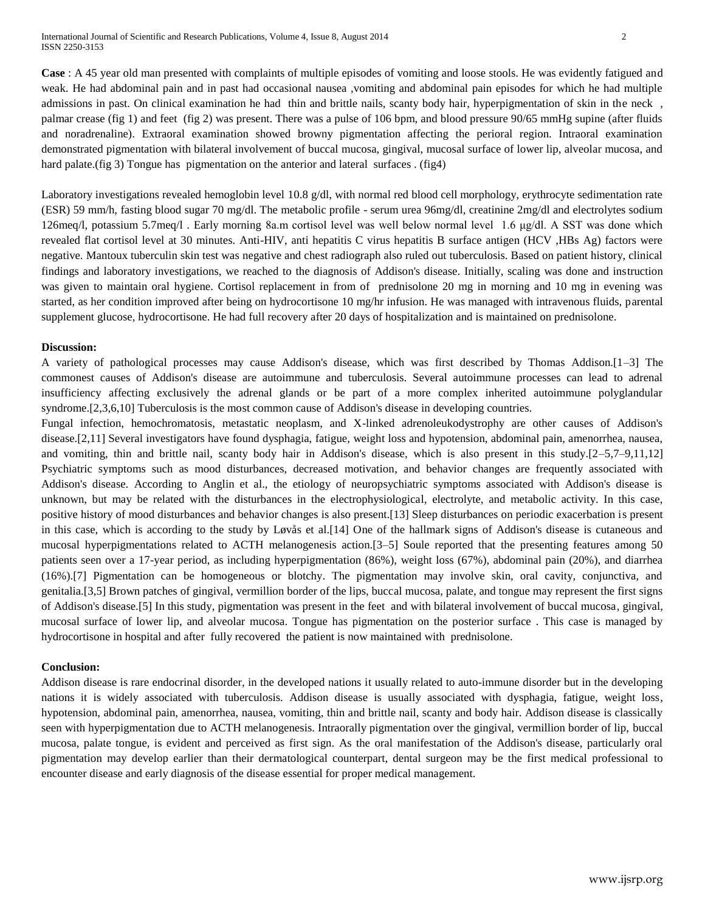**Case** : A 45 year old man presented with complaints of multiple episodes of vomiting and loose stools. He was evidently fatigued and weak. He had abdominal pain and in past had occasional nausea ,vomiting and abdominal pain episodes for which he had multiple admissions in past. On clinical examination he had thin and brittle nails, scanty body hair, hyperpigmentation of skin in the neck , palmar crease (fig 1) and feet (fig 2) was present. There was a pulse of 106 bpm, and blood pressure 90/65 mmHg supine (after fluids and noradrenaline). Extraoral examination showed browny pigmentation affecting the perioral region. Intraoral examination demonstrated pigmentation with bilateral involvement of buccal mucosa, gingival, mucosal surface of lower lip, alveolar mucosa, and hard palate.(fig 3) Tongue has pigmentation on the anterior and lateral surfaces . (fig4)

Laboratory investigations revealed hemoglobin level 10.8 g/dl, with normal red blood cell morphology, erythrocyte sedimentation rate (ESR) 59 mm/h, fasting blood sugar 70 mg/dl. The metabolic profile - serum urea 96mg/dl, creatinine 2mg/dl and electrolytes sodium 126meq/l, potassium 5.7meq/l . Early morning 8a.m cortisol level was well below normal level 1.6 μg/dl. A SST was done which revealed flat cortisol level at 30 minutes. Anti-HIV, anti hepatitis C virus hepatitis B surface antigen (HCV ,HBs Ag) factors were negative. Mantoux tuberculin skin test was negative and chest radiograph also ruled out tuberculosis. Based on patient history, clinical findings and laboratory investigations, we reached to the diagnosis of Addison's disease. Initially, scaling was done and instruction was given to maintain oral hygiene. Cortisol replacement in from of prednisolone 20 mg in morning and 10 mg in evening was started, as her condition improved after being on hydrocortisone 10 mg/hr infusion. He was managed with intravenous fluids, parental supplement glucose, hydrocortisone. He had full recovery after 20 days of hospitalization and is maintained on prednisolone.

# **Discussion:**

A variety of pathological processes may cause Addison's disease, which was first described by Thomas Addison.[1–3] The commonest causes of Addison's disease are autoimmune and tuberculosis. Several autoimmune processes can lead to adrenal insufficiency affecting exclusively the adrenal glands or be part of a more complex inherited autoimmune polyglandular syndrome.[2,3,6,10] Tuberculosis is the most common cause of Addison's disease in developing countries.

Fungal infection, hemochromatosis, metastatic neoplasm, and X-linked adrenoleukodystrophy are other causes of Addison's disease.[2,11] Several investigators have found dysphagia, fatigue, weight loss and hypotension, abdominal pain, amenorrhea, nausea, and vomiting, thin and brittle nail, scanty body hair in Addison's disease, which is also present in this study.[2–5,7–9,11,12] Psychiatric symptoms such as mood disturbances, decreased motivation, and behavior changes are frequently associated with Addison's disease. According to Anglin et al., the etiology of neuropsychiatric symptoms associated with Addison's disease is unknown, but may be related with the disturbances in the electrophysiological, electrolyte, and metabolic activity. In this case, positive history of mood disturbances and behavior changes is also present.[13] Sleep disturbances on periodic exacerbation is present in this case, which is according to the study by Løvås et al.[14] One of the hallmark signs of Addison's disease is cutaneous and mucosal hyperpigmentations related to ACTH melanogenesis action.[3–5] Soule reported that the presenting features among 50 patients seen over a 17-year period, as including hyperpigmentation (86%), weight loss (67%), abdominal pain (20%), and diarrhea (16%).[7] Pigmentation can be homogeneous or blotchy. The pigmentation may involve skin, oral cavity, conjunctiva, and genitalia.[3,5] Brown patches of gingival, vermillion border of the lips, buccal mucosa, palate, and tongue may represent the first signs of Addison's disease.[5] In this study, pigmentation was present in the feet and with bilateral involvement of buccal mucosa, gingival, mucosal surface of lower lip, and alveolar mucosa. Tongue has pigmentation on the posterior surface . This case is managed by hydrocortisone in hospital and after fully recovered the patient is now maintained with prednisolone.

## **Conclusion:**

Addison disease is rare endocrinal disorder, in the developed nations it usually related to auto-immune disorder but in the developing nations it is widely associated with tuberculosis. Addison disease is usually associated with dysphagia, fatigue, weight loss, hypotension, abdominal pain, amenorrhea, nausea, vomiting, thin and brittle nail, scanty and body hair. Addison disease is classically seen with hyperpigmentation due to ACTH melanogenesis. Intraorally pigmentation over the gingival, vermillion border of lip, buccal mucosa, palate tongue, is evident and perceived as first sign. As the oral manifestation of the Addison's disease, particularly oral pigmentation may develop earlier than their dermatological counterpart, dental surgeon may be the first medical professional to encounter disease and early diagnosis of the disease essential for proper medical management.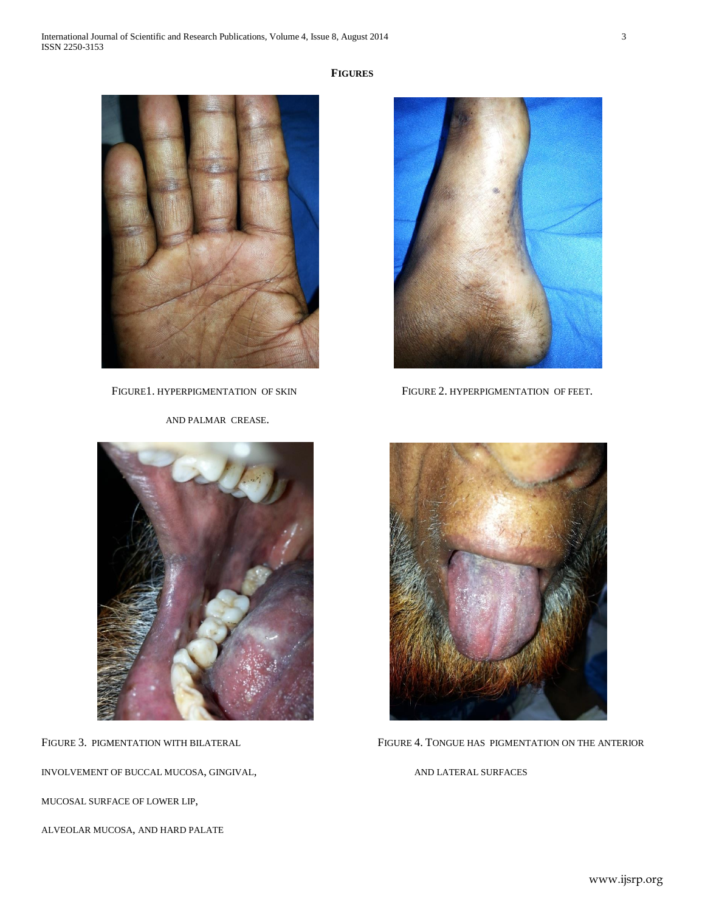



AND PALMAR CREASE.



INVOLVEMENT OF BUCCAL MUCOSA, GINGIVAL, AND LATERAL SURFACES

MUCOSAL SURFACE OF LOWER LIP,

ALVEOLAR MUCOSA, AND HARD PALATE



FIGURE1. HYPERPIGMENTATION OF SKIN FIGURE 2. HYPERPIGMENTATION OF FEET.



FIGURE 3. PIGMENTATION WITH BILATERAL FIGURE 4. TONGUE HAS PIGMENTATION ON THE ANTERIOR